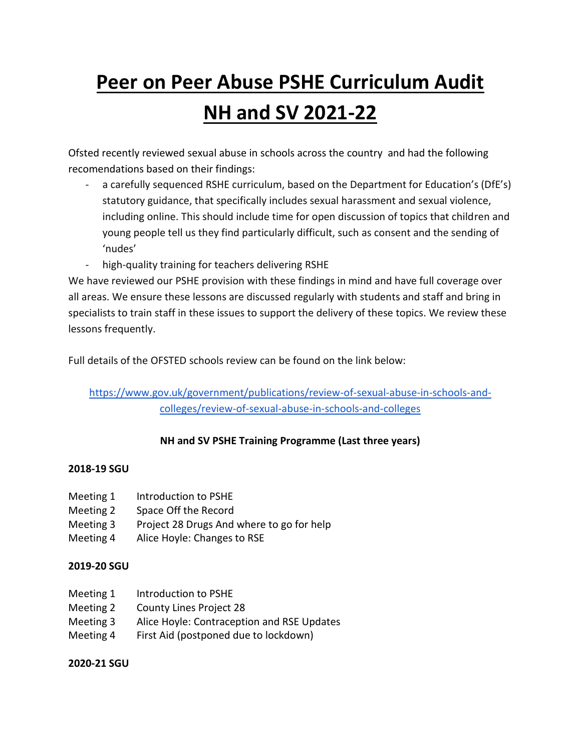## **Peer on Peer Abuse PSHE Curriculum Audit NH and SV 2021-22**

Ofsted recently reviewed sexual abuse in schools across the country and had the following recomendations based on their findings:

- a carefully sequenced RSHE curriculum, based on the Department for Education's (DfE's) statutory guidance, that specifically includes sexual harassment and sexual violence, including online. This should include time for open discussion of topics that children and young people tell us they find particularly difficult, such as consent and the sending of 'nudes'
- high-quality training for teachers delivering RSHE

We have reviewed our PSHE provision with these findings in mind and have full coverage over all areas. We ensure these lessons are discussed regularly with students and staff and bring in specialists to train staff in these issues to support the delivery of these topics. We review these lessons frequently.

Full details of the OFSTED schools review can be found on the link below:

[https://www.gov.uk/government/publications/review-of-sexual-abuse-in-schools-and](https://www.gov.uk/government/publications/review-of-sexual-abuse-in-schools-and-colleges/review-of-sexual-abuse-in-schools-and-colleges)[colleges/review-of-sexual-abuse-in-schools-and-colleges](https://www.gov.uk/government/publications/review-of-sexual-abuse-in-schools-and-colleges/review-of-sexual-abuse-in-schools-and-colleges)

## **NH and SV PSHE Training Programme (Last three years)**

## **2018-19 SGU**

- Meeting 1 Introduction to PSHE
- Meeting 2 Space Off the Record
- Meeting 3 Project 28 Drugs And where to go for help
- Meeting 4 Alice Hoyle: Changes to RSE

## **2019-20 SGU**

- Meeting 1 Introduction to PSHE
- Meeting 2 County Lines Project 28
- Meeting 3 Alice Hoyle: Contraception and RSE Updates
- Meeting 4 First Aid (postponed due to lockdown)

**2020-21 SGU**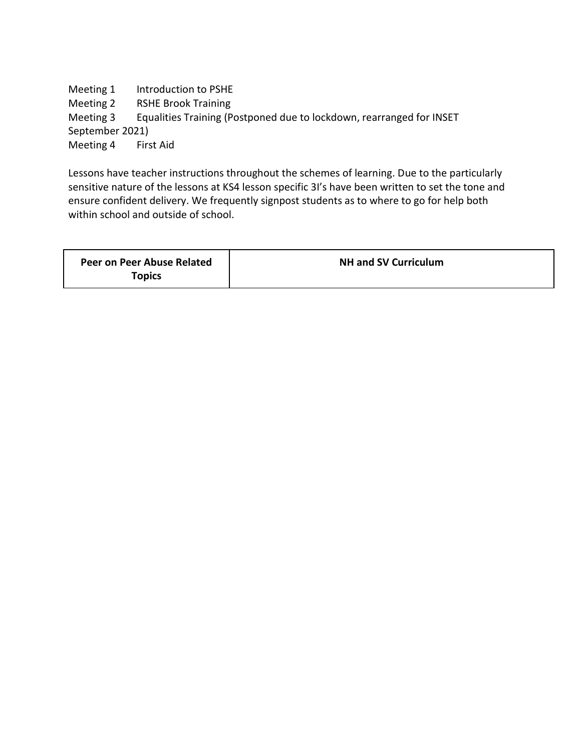Meeting 1 Introduction to PSHE Meeting 2 RSHE Brook Training Meeting 3 Equalities Training (Postponed due to lockdown, rearranged for INSET September 2021) Meeting 4 First Aid

Lessons have teacher instructions throughout the schemes of learning. Due to the particularly sensitive nature of the lessons at KS4 lesson specific 3I's have been written to set the tone and ensure confident delivery. We frequently signpost students as to where to go for help both within school and outside of school.

| Peer on Peer Abuse Related | <b>NH and SV Curriculum</b> |
|----------------------------|-----------------------------|
| <b>Topics</b>              |                             |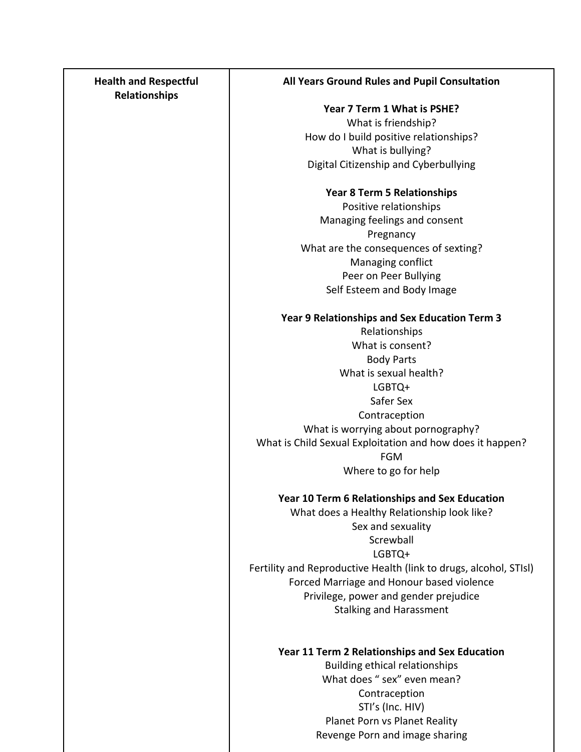| <b>Health and Respectful</b><br>Relationships | All Years Ground Rules and Pupil Consultation                     |
|-----------------------------------------------|-------------------------------------------------------------------|
|                                               | Year 7 Term 1 What is PSHE?                                       |
|                                               | What is friendship?                                               |
|                                               | How do I build positive relationships?                            |
|                                               | What is bullying?                                                 |
|                                               | Digital Citizenship and Cyberbullying                             |
|                                               | Year 8 Term 5 Relationships                                       |
|                                               | Positive relationships                                            |
|                                               | Managing feelings and consent                                     |
|                                               | Pregnancy<br>What are the consequences of sexting?                |
|                                               | Managing conflict                                                 |
|                                               | Peer on Peer Bullying                                             |
|                                               | Self Esteem and Body Image                                        |
|                                               | Year 9 Relationships and Sex Education Term 3                     |
|                                               | Relationships                                                     |
|                                               | What is consent?                                                  |
|                                               | <b>Body Parts</b>                                                 |
|                                               | What is sexual health?                                            |
|                                               | LGBTQ+<br>Safer Sex                                               |
|                                               | Contraception                                                     |
|                                               | What is worrying about pornography?                               |
|                                               | What is Child Sexual Exploitation and how does it happen?         |
|                                               | <b>FGM</b>                                                        |
|                                               | Where to go for help                                              |
|                                               | Year 10 Term 6 Relationships and Sex Education                    |
|                                               | What does a Healthy Relationship look like?                       |
|                                               | Sex and sexuality                                                 |
|                                               | Screwball<br>LGBTQ+                                               |
|                                               | Fertility and Reproductive Health (link to drugs, alcohol, STIsI) |
|                                               | Forced Marriage and Honour based violence                         |
|                                               | Privilege, power and gender prejudice                             |
|                                               | <b>Stalking and Harassment</b>                                    |
|                                               |                                                                   |
|                                               | Year 11 Term 2 Relationships and Sex Education                    |
|                                               | Building ethical relationships<br>What does " sex" even mean?     |
|                                               | Contraception                                                     |
|                                               | STI's (Inc. HIV)                                                  |
|                                               | Planet Porn vs Planet Reality                                     |
|                                               | Revenge Porn and image sharing                                    |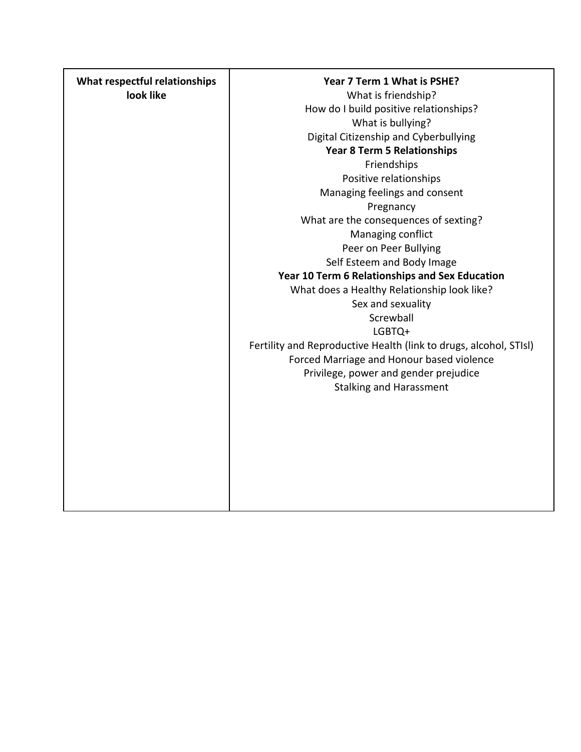| What respectful relationships | Year 7 Term 1 What is PSHE?                                       |
|-------------------------------|-------------------------------------------------------------------|
| look like                     | What is friendship?                                               |
|                               | How do I build positive relationships?                            |
|                               | What is bullying?                                                 |
|                               | Digital Citizenship and Cyberbullying                             |
|                               | <b>Year 8 Term 5 Relationships</b>                                |
|                               | Friendships                                                       |
|                               | Positive relationships                                            |
|                               | Managing feelings and consent                                     |
|                               | Pregnancy                                                         |
|                               | What are the consequences of sexting?                             |
|                               | Managing conflict                                                 |
|                               | Peer on Peer Bullying                                             |
|                               | Self Esteem and Body Image                                        |
|                               | Year 10 Term 6 Relationships and Sex Education                    |
|                               | What does a Healthy Relationship look like?                       |
|                               | Sex and sexuality                                                 |
|                               | Screwball                                                         |
|                               | LGBTQ+                                                            |
|                               | Fertility and Reproductive Health (link to drugs, alcohol, STIsI) |
|                               | Forced Marriage and Honour based violence                         |
|                               | Privilege, power and gender prejudice                             |
|                               | <b>Stalking and Harassment</b>                                    |
|                               |                                                                   |
|                               |                                                                   |
|                               |                                                                   |
|                               |                                                                   |
|                               |                                                                   |
|                               |                                                                   |
|                               |                                                                   |
|                               |                                                                   |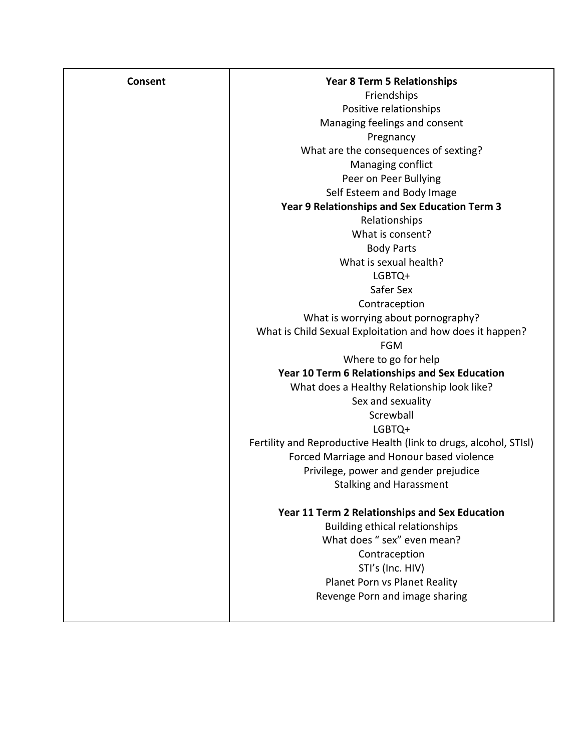| <b>Consent</b> | <b>Year 8 Term 5 Relationships</b>                                |
|----------------|-------------------------------------------------------------------|
|                | Friendships                                                       |
|                | Positive relationships                                            |
|                | Managing feelings and consent                                     |
|                | Pregnancy                                                         |
|                | What are the consequences of sexting?                             |
|                | Managing conflict                                                 |
|                | Peer on Peer Bullying                                             |
|                | Self Esteem and Body Image                                        |
|                | Year 9 Relationships and Sex Education Term 3                     |
|                | Relationships                                                     |
|                | What is consent?                                                  |
|                | <b>Body Parts</b>                                                 |
|                | What is sexual health?                                            |
|                | LGBTQ+                                                            |
|                | Safer Sex                                                         |
|                | Contraception                                                     |
|                | What is worrying about pornography?                               |
|                | What is Child Sexual Exploitation and how does it happen?         |
|                | <b>FGM</b>                                                        |
|                | Where to go for help                                              |
|                | Year 10 Term 6 Relationships and Sex Education                    |
|                | What does a Healthy Relationship look like?                       |
|                | Sex and sexuality                                                 |
|                | Screwball                                                         |
|                | LGBTQ+                                                            |
|                | Fertility and Reproductive Health (link to drugs, alcohol, STIsI) |
|                | Forced Marriage and Honour based violence                         |
|                | Privilege, power and gender prejudice                             |
|                | <b>Stalking and Harassment</b>                                    |
|                | Year 11 Term 2 Relationships and Sex Education                    |
|                | Building ethical relationships                                    |
|                | What does "sex" even mean?                                        |
|                | Contraception                                                     |
|                | STI's (Inc. HIV)                                                  |
|                | Planet Porn vs Planet Reality                                     |
|                | Revenge Porn and image sharing                                    |
|                |                                                                   |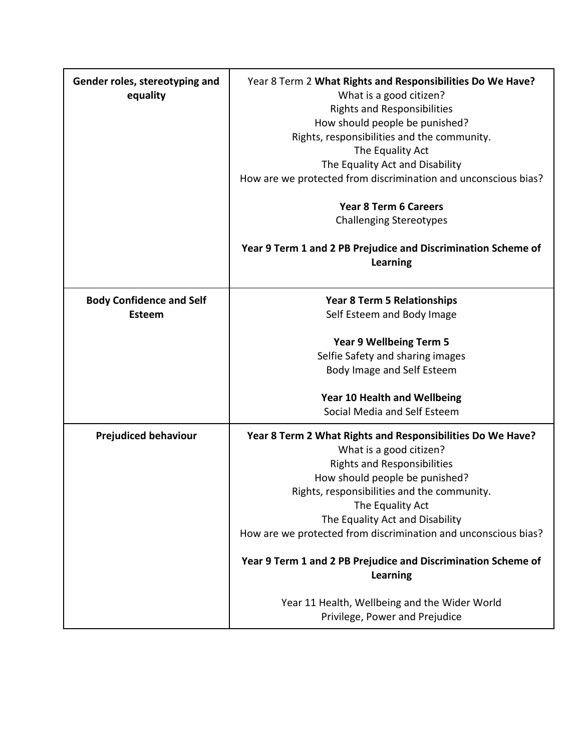| Gender roles, stereotyping and<br>equality | Year 8 Term 2 What Rights and Responsibilities Do We Have?<br>What is a good citizen?<br><b>Rights and Responsibilities</b><br>How should people be punished?<br>Rights, responsibilities and the community.<br>The Equality Act<br>The Equality Act and Disability<br>How are we protected from discrimination and unconscious bias?<br><b>Year 8 Term 6 Careers</b><br><b>Challenging Stereotypes</b><br>Year 9 Term 1 and 2 PB Prejudice and Discrimination Scheme of |
|--------------------------------------------|--------------------------------------------------------------------------------------------------------------------------------------------------------------------------------------------------------------------------------------------------------------------------------------------------------------------------------------------------------------------------------------------------------------------------------------------------------------------------|
|                                            | <b>Learning</b>                                                                                                                                                                                                                                                                                                                                                                                                                                                          |
| <b>Body Confidence and Self</b>            | <b>Year 8 Term 5 Relationships</b>                                                                                                                                                                                                                                                                                                                                                                                                                                       |
| <b>Esteem</b>                              | Self Esteem and Body Image                                                                                                                                                                                                                                                                                                                                                                                                                                               |
|                                            |                                                                                                                                                                                                                                                                                                                                                                                                                                                                          |
|                                            | <b>Year 9 Wellbeing Term 5</b>                                                                                                                                                                                                                                                                                                                                                                                                                                           |
|                                            | Selfie Safety and sharing images                                                                                                                                                                                                                                                                                                                                                                                                                                         |
|                                            | Body Image and Self Esteem                                                                                                                                                                                                                                                                                                                                                                                                                                               |
|                                            | <b>Year 10 Health and Wellbeing</b>                                                                                                                                                                                                                                                                                                                                                                                                                                      |
|                                            | Social Media and Self Esteem                                                                                                                                                                                                                                                                                                                                                                                                                                             |
| <b>Prejudiced behaviour</b>                | Year 8 Term 2 What Rights and Responsibilities Do We Have?                                                                                                                                                                                                                                                                                                                                                                                                               |
|                                            | What is a good citizen?                                                                                                                                                                                                                                                                                                                                                                                                                                                  |
|                                            | <b>Rights and Responsibilities</b>                                                                                                                                                                                                                                                                                                                                                                                                                                       |
|                                            | How should people be punished?                                                                                                                                                                                                                                                                                                                                                                                                                                           |
|                                            | Rights, responsibilities and the community.                                                                                                                                                                                                                                                                                                                                                                                                                              |
|                                            | The Equality Act                                                                                                                                                                                                                                                                                                                                                                                                                                                         |
|                                            | The Equality Act and Disability                                                                                                                                                                                                                                                                                                                                                                                                                                          |
|                                            | How are we protected from discrimination and unconscious bias?                                                                                                                                                                                                                                                                                                                                                                                                           |
|                                            | Year 9 Term 1 and 2 PB Prejudice and Discrimination Scheme of<br><b>Learning</b>                                                                                                                                                                                                                                                                                                                                                                                         |
|                                            | Year 11 Health, Wellbeing and the Wider World<br>Privilege, Power and Prejudice                                                                                                                                                                                                                                                                                                                                                                                          |